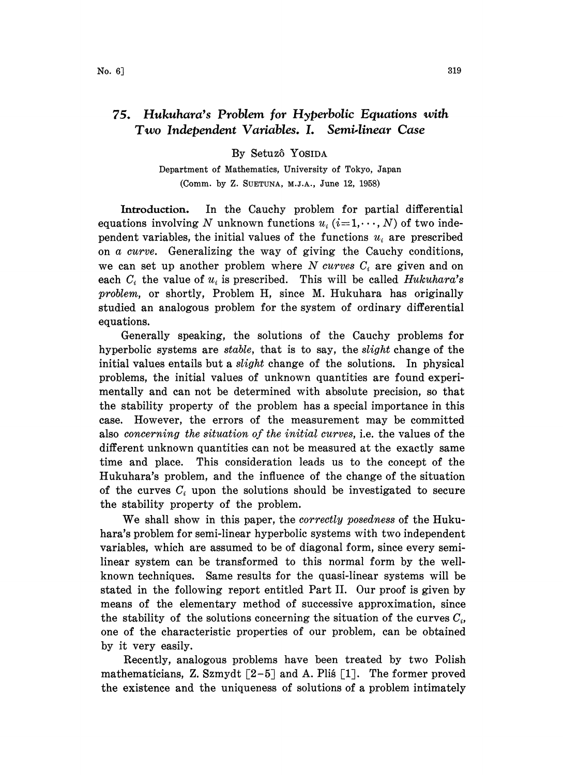## 75. Hukuhara's Problem for Hyperbolic Equations with Two Independent Variables. L Semi.linear Case

By Setuzô Yosida

Department of Mathematics, University of Tokyo, Japan (Comm. by Z. SUETUNA, M.J.A., June 12, 1958)

Introduction. In the Cauchy problem for partial differential equations involving N unknown functions  $u_i$  (i=1,..., N) of two independent variables, the initial values of the functions  $u_i$  are prescribed on a curve. Generalizing the way of giving the Cauchy conditions, we can set up another problem where N curves  $C_i$  are given and on each  $C_i$  the value of  $u_i$  is prescribed. This will be called *Hukuhara's* problem, or shortly, Problem H, since M. Hukuhara has originally studied an analogous problem for the system of ordinary differential equations.

Generally speaking, the solutions of the Cauchy problems for hyperbolic systems are stable, that is to say, the slight change of the initial values entails but a *slight* change of the solutions. In physical problems, the initial values of unknown quantities are found experimentally and can not be determined with absolute precision, so that the stability property of the problem has a special importance in this case. However, the errors of the measurement may be committed also concerning the situation of the initial curves, i.e. the values of the different unknown quantities can not be measured at the exactly same time and place. This consideration leads us to the concept of the Hukuhara's problem, and the influence of the change of the situation of the curves  $C_i$  upon the solutions should be investigated to secure the stability property of the problem.

We shall show in this paper, the *correctly posedness* of the Hukuhara's problem for semi-linear hyperbolic systems with two independent variables, which are assumed to be of diagonal form, since every semilinear system can be transformed to this normal form by the wellknown techniques. Same results for the quasi-linear systems will be stated in the following report entitled Part II. Our proof is given by means of the elementary method of successive approximation, since the stability of the solutions concerning the situation of the curves  $C_i$ , one of the characteristic properties of our problem, can be obtained by it very easily.

Recently, analogous problems have been treated by two Polish mathematicians, Z. Szmydt  $\lceil 2-5 \rceil$  and A. Plis  $\lceil 1 \rceil$ . The former proved the existence and the uniqueness of solutions of a problem intimately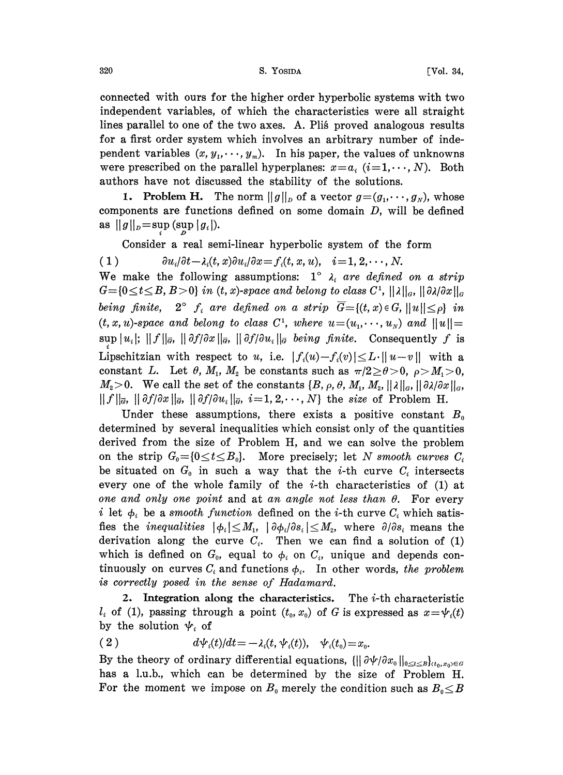## 320 S. YOSIDA [Vol. 34,

connected with ours for the higher order hyperbolic systems with two independent variables, of which the characteristics were all straight lines parallel to one of the two axes. A. Plis proved analogous results for a first order system which involves an arbitrary number of independent variables  $(x, y_1, \dots, y_m)$ . In his paper, the values of unknowns were prescribed on the parallel hyperplanes:  $x=a_i$   $(i=1,\dots,N)$ . Both authors have not discussed the stability of the solutions.

**1. Problem H.** The norm  $||g||_p$  of a vector  $g = (g_1, \dots, g_N)$ , whose components are functions defined on some domain D, will be defined as  $||g||_p = \sup_{a} (\sup_{a} |g_i|).$ 

Consider a real semi-linear hyperbolic system of the form

(1)  $\partial u_i/\partial t - \lambda_i(t, x) \partial u_i/\partial x = f_i(t, x, u), \quad i = 1, 2, \dots, N.$ We make the following assumptions:  $1^\circ$   $\lambda_i$  are defined on a strip  $G = \{0 \le t \le B, B>0\}$  in (t, x)-space and belong to class  $C^1$ ,  $||\lambda||_G$ ,  $||\partial \lambda/\partial x||_G$ being finite,  $2^{\circ}$  f<sub>i</sub> are defined on a strip  $\overline{G}=[(t, x) \in G, ||u|| \leq \rho$  in being finite,  $2^{o}$  f<sub>i</sub> are defined on a strip  $G = \{(t, x) \in G, ||u|| \leq \rho\}$  in  $(t, x, u)$ -space and belong to class  $C^1$ , where  $u = (u_1, \dots, u_N)$  and  $||u|| = \sup |u_i|$ ;  $||f||_{\overline{\sigma}}$ ,  $||\partial f/\partial x||_{\overline{\sigma}}$ ,  $||\partial f/\partial u_i||_{\overline{\sigma}}$  being fini  $(t, x, u)$ -space and belong to class  $C^1$ , where  $u=(u_1, \dots, u_N)$  and  $||u||=$ Lipschitzian with respect to u, i.e.  $|f_i(u)-f_i(v)| \leq L \cdot ||u-v||$  with a constant L. Let  $\theta$ ,  $M_1$ ,  $M_2$  be constants such as  $\pi/2 \ge \theta > 0$ ,  $\rho > M_1 > 0$ ,  $M_2>0$ . We call the set of the constants  $\{B, \rho, \theta, M_1, M_2, ||\lambda||_\sigma, ||\partial \lambda/\partial x||_\sigma,$  $|| f ||_{\overline{\sigma}}$ ,  $|| \partial f / \partial x ||_{\overline{\sigma}}$ ,  $|| \partial f / \partial u_i ||_{\overline{\sigma}}$ ,  $i=1,2,\dots,N$  the size of Problem H.

Under these assumptions, there exists a positive constant  $B_0$ determined by several inequalities which consist only of the quantities derived from the size of Problem H, and we can solve the problem on the strip  $G_0 = \{0 \le t \le B_0\}$ . More precisely; let N smooth curves  $C_i$ be situated on  $G_0$  in such a way that the *i*-th curve  $C_i$  intersects every one of the whole family of the  $i$ -th characteristics of (1) at one and only one point and at an angle not less than  $\theta$ . For every i let  $\phi_i$  be a smooth function defined on the *i*-th curve  $C_i$  which satisfies the *inequalities*  $|\phi_i| \leq M_1$ ,  $|\partial \phi_i/\partial s_i| \leq M_2$ , where  $\partial/\partial s_i$  means the derivation along the curve  $C_i$ . Then we can find a solution of (1) which is defined on  $G_0$ , equal to  $\phi_i$  on  $C_i$ , unique and depends continuously on curves  $C_i$  and functions  $\phi_i$ . In other words, the problem is correctly posed in the sense of Hadamard.

2. Integration along the characteristics. The  $i$ -th characteristic  $l_i$  of (1), passing through a point  $(t_0, x_0)$  of G is expressed as  $x = \psi_i(t)$ by the solution  $\psi_i$  of

(2) 
$$
d\psi_i(t)/dt = -\lambda_i(t, \psi_i(t)), \quad \psi_i(t_0) = x_0.
$$

By the theory of ordinary differential equations,  $\{||\partial \psi/\partial x_0||_{0\leq t\leq B}\}_{(t_0,x_0)\in G}$ has a 1.u.b., which can be determined by the size of Problem H. For the moment we impose on  $B_0$  merely the condition such as  $B_0 \leq B$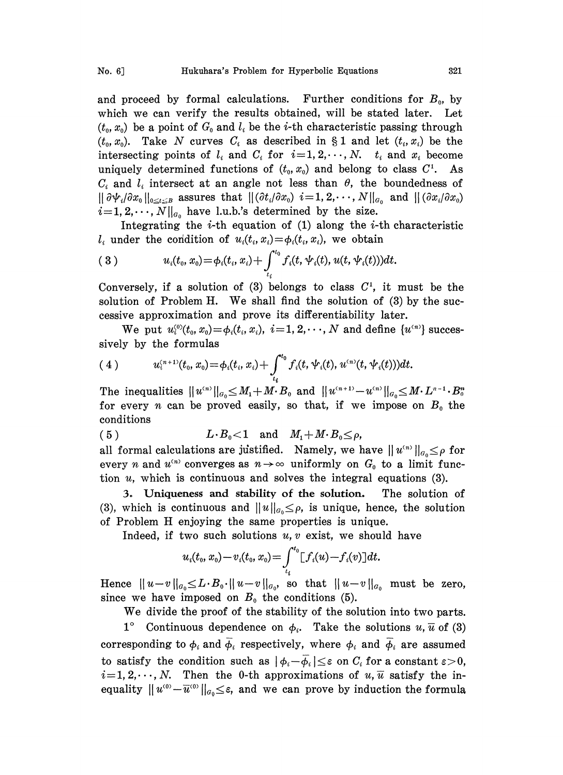and proceed by formal calculations. Further conditions for  $B_0$ , by which we can verify the results obtained, will be stated later. Let  $(t_0, x_0)$  be a point of  $G_0$  and  $l_i$  be the *i*-th characteristic passing through  $(t_0, x_0)$ . Take N curves  $C_i$  as described in § 1 and let  $(t_i, x_i)$  be the intersecting points of  $l_i$  and  $C_i$  for  $i=1, 2, \dots, N$ .  $t_i$  and  $x_i$  become uniquely determined functions of  $(t_0, x_0)$  and belong to class  $C^1$ . As  $C_i$  and  $l_i$  intersect at an angle not less than  $\theta$ , the boundedness of  $\|\partial \Psi_i/\partial x_0\|_{0\leq t\leq B}$  assures that  $\|(\partial t_i/\partial x_0)$  i=1, 2, ...,  $N\|_{a_0}$  and  $\|(\partial x_i/\partial x_0)$  $i=1, 2,\dots, N||_{a_0}$  have l.u.b.'s determined by the size.

Integrating the  $i$ -th equation of (1) along the  $i$ -th characteristic  $l_i$  under the condition of  $u_i(t_i, x_i) = \phi_i(t_i, x_i)$ , we obtain

(3) 
$$
u_i(t_0,x_0) = \phi_i(t_i,x_i) + \int_{t_i}^{t_0} f_i(t,\psi_i(t),u(t,\psi_i(t)))dt.
$$

Conversely, if a solution of (3) belongs to class  $C<sup>1</sup>$ , it must be the solution of Problem H. We shall find the solution of  $(3)$  by the successive approximation and prove its differentiability later.

We put  $u_i^{(0)}(t_0, x_0) = \phi_i(t_i, x_i), i = 1, 2, \dots, N$  and define  $\{u^{(n)}\}$  successively by the formulas

(4) 
$$
u_i^{(n+1)}(t_0, x_0) = \phi_i(t_i, x_i) + \int_{t_i}^{t_0} f_i(t, \psi_i(t), u^{(n)}(t, \psi_i(t)))dt.
$$

The inequalities  $||u^{(n)}||_{G_0} \leq M_1+M_2B_0$  and  $||u^{(n+1)}-u^{(n)}||_{G_0} \leq M_2L_1B_0$ for every *n* can be proved easily, so that, if we impose on  $B_0$  the conditions

(5)  $L \cdot B_0 < 1$  and  $M_1 + M \cdot B_0 \le \rho$ ,

all formal calculations are justified. Namely, we have  $||u^{(n)}||_{a_0} \leq \rho$  for every *n* and  $u^{(n)}$  converges as  $n \rightarrow \infty$  uniformly on  $G_0$  to a limit function  $u$ , which is continuous and solves the integral equations (3).

3. Uniqueness and stability of the solution. The solution of (3), which is continuous and  $||u||_{q_0 \leq \rho}$ , is unique, hence, the solution of Problem H enjoying the same properties is unique.

Indeed, if two such solutions  $u, v$  exist, we should have

$$
u_i(t_0,x_0)-v_i(t_0,x_0)=\int_{t_i}^{t_0}[f_i(u)-f_i(v)]dt.
$$

Hence  $||u-v||_{\alpha_0} \leq L \cdot B_0 \cdot ||u-v||_{\alpha_0}$  so that  $||u-v||_{\alpha_0}$  must be zero, since we have imposed on  $B_0$  the conditions (5).

We divide the proof of the stability of the solution into two parts.

1° Continuous dependence on  $\phi_i$ . Take the solutions u,  $\bar{u}$  of (3) corresponding to  $\phi_i$  and  $\overline{\phi}_i$  respectively, where  $\phi_i$  and  $\overline{\phi}_i$  are assumed to satisfy the condition such as  $|\phi_i-\overline{\phi}_i|\leq \varepsilon$  on  $C_i$  for a constant  $\varepsilon>0$ ,  $i=1, 2, \dots, N$ . Then the 0-th approximations of u,  $\overline{u}$  satisfy the inequality  $||u^{(0)}-\overline{u}^{(0)}||_{a_0}\leq\varepsilon$ , and we can prove by induction the formula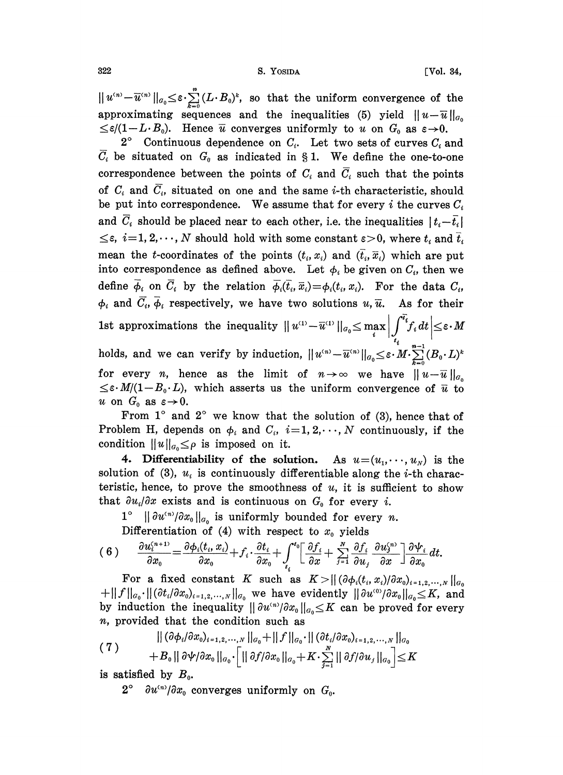$||u^{(n)}-\overline{u}^{(n)}||_{a_0}\leq\varepsilon\cdot\sum_{k=0}^n(L\cdot B_0)^k$ , so that the uniform convergence of the approximating sequences and the inequalities (5) yield  $||u-\overline{u}||_{a_0}$  $\leq \varepsilon/(1-L \cdot B_0)$ . Hence  $\overline{u}$  converges uniformly to u on  $G_0$  as  $\varepsilon \rightarrow 0$ .

 $2^{\circ}$  Continuous dependence on  $C_i$ . Let two sets of curves  $C_i$  and  $\overline{C}_i$  be situated on  $G_0$  as indicated in § 1. We define the one-to-one correspondence between the points of  $C_i$  and  $\overline{C}_i$  such that the points of  $C_i$  and  $\overline{C_i}$ , situated on one and the same *i*-th characteristic, should be put into correspondence. We assume that for every i the curves  $C_i$ and  $C_i$  should be placed near to each other, i.e. the inequalities  $|t_i-\overline{t_i}|$  $\leq \varepsilon$ ,  $i=1, 2, \dots, N$  should hold with some constant  $\varepsilon > 0$ , where  $t_i$  and  $\overline{t}_i$ mean the t-coordinates of the points  $(t_i, x_i)$  and  $(\bar{t}_i, \bar{x}_i)$  which are put into correspondence as defined above. Let  $\phi_i$  be given on  $C_i$ , then we define  $\overline{\phi}_i$  on  $\overline{C}_i$  by the relation  $\overline{\phi}_i(\overline{t}_i, \overline{x}_i) = \phi_i(t_i, x_i)$ . For the data  $C_i$ ,  $\phi_i$  and  $\overline{C}_i$ ,  $\overline{\phi}_i$  respectively, we have two solutions  $u, \overline{u}$ . As for their 1st approximations the inequality  $||u^{(1)}-\overline{u}^{(1)}||_{a_0}\leq \max_i \left|\int_{t_i}^{\overline{t_i}} f_i dt\right|\leq \varepsilon \cdot M$ holds, and we can verify by induction,  $||u^{(n)}-\overline{u}^{(n)}||_{a_0} \leq \varepsilon \cdot M \cdot \sum_{k=0}^{n-1} (B_0 \cdot L)^k$ <br>for every *n*, hence as the limit of  $n \to \infty$  we have  $||u-\overline{u}||_{a_0}$ <br> $\leq \varepsilon \cdot M/(1-R \cdot L)$  which asserts us the uniform conv for every *n*, hence as the limit of  $n \to \infty$  we have  $||u - \overline{u}||_{a_0} \leq \varepsilon \cdot M/(1-B_0 \cdot L)$ , which asserts us the uniform convergence of  $\overline{u}$  to u on  $G_0$  as  $\varepsilon \rightarrow 0$ .

From  $1^\circ$  and  $2^\circ$  we know that the solution of (3), hence that of Problem H, depends on  $\phi_i$  and  $C_i$ ,  $i=1, 2, \dots, N$  continuously, if the condition  $||u||_{a_0} \leq \rho$  is imposed on it.

4. Differentiability of the solution. As  $u=(u_1,\dots, u_N)$  is the solution of (3),  $u_i$  is continuously differentiable along the *i*-th characteristic, hence, to prove the smoothness of  $u$ , it is sufficient to show that  $\partial u_i/\partial x$  exists and is continuous on  $G_0$  for every i.

 $1^{\circ}$   $\|\partial u^{(n)}/\partial x_{0}\|_{a_{0}}$  is uniformly bounded for every n.

Differentiation of (4) with respect to  $x_0$  yields

$$
(6) \qquad \frac{\partial u_i^{(n+1)}}{\partial x_0} = \frac{\partial \phi_i(t_i, x_i)}{\partial x_0} + f_i \cdot \frac{\partial t_i}{\partial x_0} + \int_{t_i}^{t_0} \left[ \frac{\partial f_i}{\partial x} + \sum_{j=1}^N \frac{\partial f_i}{\partial u_j} \frac{\partial u_j^{(n)}}{\partial x} \right] \frac{\partial \psi_i}{\partial x_0} dt.
$$

For a fixed constant K such as  $K>||(\partial \phi_i(t_i,x_i)/\partial x_0)_{i=1,2,\dots,N}||_{\mathcal{G}_0}$  $+||f||_{G_0}\cdot ||(\partial t_i/\partial x_0)_{i=1,2,\dots,N}||_{G_0}$  we have evidently  $||\partial u^{(0)}/\partial x_0||_{G_0}\leq K$ , and by induction the inequality  $\|\partial u^{(n)}/\partial x_0\|_{\mathcal{C}_0} \leq K$  can be proved for every n, provided that the condition such as

$$
(7) \qquad ||(\partial \phi_i/\partial x_0)_{i=1,2,\cdots,N}||_{G_0} + ||f||_{G_0} \cdot ||(\partial t_i/\partial x_0)_{i=1,2,\cdots,N}||_{G_0} + B_0 ||\partial \psi/\partial x_0 ||_{G_0} \cdot \left[ ||\partial f/\partial x_0||_{G_0} + K \cdot \sum_{j=1}^N ||\partial f/\partial u_j||_{G_0} \right] \leq K
$$

is satisfied by  $B_0$ .

 $2^{\circ}$   $\partial u^{(n)}/\partial x_0$  converges uniformly on  $G_0$ .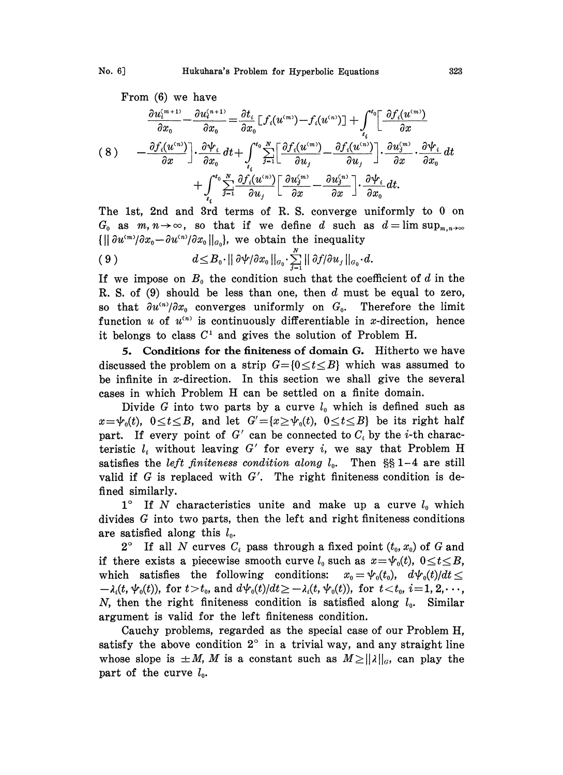From (6) we have

$$
\frac{\partial u_i^{(m+1)}}{\partial x} - \frac{\partial u_i^{(n+1)}}{\partial x} = \frac{\partial t_i}{\partial x_0} \left[ f_i(u^{(m)}) - f_i(u^{(n)}) \right] + \int_{t_i}^{t_0} \left[ \frac{\partial f_i(u^{(m)})}{\partial x} \right]
$$
\n
$$
(8) \qquad - \frac{\partial f_i(u^{(n)})}{\partial x} \left[ \frac{\partial \psi_i}{\partial x_0} dt + \int_{t_i}^{t_0} \sum_{j=1}^N \left[ \frac{\partial f_i(u^{(m)})}{\partial u_j} - \frac{\partial f_i(u^{(n)})}{\partial u_j} \right] \cdot \frac{\partial u_j^{(m)}}{\partial x} \cdot \frac{\partial \psi_i}{\partial x_0} dt + \int_{t_i}^{t_0} \sum_{j=1}^N \frac{\partial f_i(u^{(n)})}{\partial u_j} \left[ \frac{\partial u_j^{(m)}}{\partial x} - \frac{\partial u_j^{(n)}}{\partial x} \right] \cdot \frac{\partial \psi_i}{\partial x_0} dt.
$$
\nThe 1st, 2nd and 3rd terms of R. S. converge uniformly to 0 on

r.  $G_0$  as  $m, n \to \infty$ , so that if we define d such as  $d=\limsup_{m,n\to\infty}$  $\{||\partial u^{(m)}/\partial x_0 - \partial u^{(n)}/\partial x_0||_{a_0}\},\}$  we obtain the inequality

$$
(9) \t d\leq B_0 \cdot ||\partial \psi/\partial x_0||_{\sigma_0} \cdot \sum_{j=1}^N ||\partial f/\partial u_j||_{\sigma_0} \cdot d.
$$

If we impose on  $B_0$  the condition such that the coefficient of d in the R. S. of  $(9)$  should be less than one, then d must be equal to zero, so that  $\partial u^{(n)}/\partial x_0$  converges uniformly on  $G_0$ . Therefore the limit function u of  $u^{(n)}$  is continuously differentiable in x-direction, hence it belongs to class  $C<sup>1</sup>$  and gives the solution of Problem H.

5. Conditions for the finiteness of domain G. Hitherto we have discussed the problem on a strip  $G=[0 \le t \le B]$  which was assumed to be infinite in x-direction. In this section we shall give the several cases in which Problem H can be settled on <sup>a</sup> finite domain.

Divide G into two parts by a curve  $l_0$  which is defined such as  $x = \psi_0(t)$ ,  $0 \le t \le B$ , and let  $G' = \{x \ge \psi_0(t), 0 \le t \le B\}$  be its right half part. If every point of G' can be connected to  $C_i$  by the *i*-th characteristic  $l_i$  without leaving G' for every i, we say that Problem H satisfies the left finiteness condition along  $l_0$ . Then  $\S\S 1-4$  are still valid if G is replaced with  $G'$ . The right finiteness condition is defined similarly.

 $1^{\circ}$  If N characteristics unite and make up a curve  $l_0$  which divides G into two parts, then the left and right finiteness conditions are satisfied along this  $l_0$ .

 $2^{\circ}$  If all N curves  $C_i$  pass through a fixed point  $(t_0, x_0)$  of G and if there exists a piecewise smooth curve  $l_0$  such as  $x = \psi_0(t)$ ,  $0 \le t \le B$ , which satisfies the following conditions:  $x_0 = \psi_0(t_0)$ ,  $d\psi_0(t)/dt \leq$  $-\lambda_i(t, \psi_0(t))$ , for  $t > t_0$ , and  $d\psi_0(t)/dt \geq -\lambda_i(t, \psi_0(t))$ , for  $t < t_0$ ,  $i = 1, 2, \dots$ , N, then the right finiteness condition is satisfied along  $l_0$ . Similar argument is valid for the left finiteness condition.

Cauchy problems, regarded as the special case of our Problem H, satisfy the above condition  $2^{\circ}$  in a trivial way, and any straight line whose slope is  $\pm M$ , M is a constant such as  $M \ge ||\lambda||_G$ , can play the part of the curve  $l_0$ .